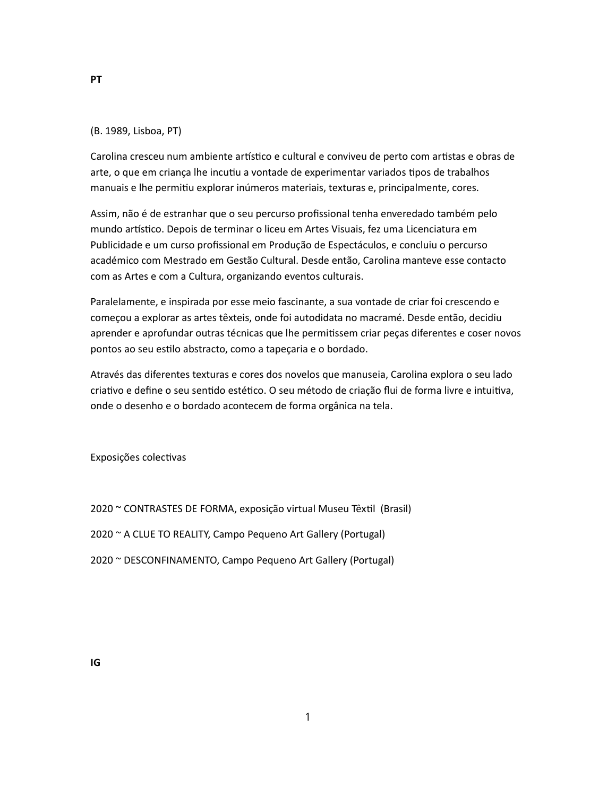## (B. 1989, Lisboa, PT)

Carolina cresceu num ambiente artístico e cultural e conviveu de perto com artistas e obras de arte, o que em criança lhe incutiu a vontade de experimentar variados tipos de trabalhos manuais e lhe permitiu explorar inúmeros materiais, texturas e, principalmente, cores.

Assim, não é de estranhar que o seu percurso profissional tenha enveredado também pelo mundo artístico. Depois de terminar o liceu em Artes Visuais, fez uma Licenciatura em Publicidade e um curso profissional em Produção de Espectáculos, e concluiu o percurso académico com Mestrado em Gestão Cultural. Desde então, Carolina manteve esse contacto com as Artes e com a Cultura, organizando eventos culturais.

Paralelamente, e inspirada por esse meio fascinante, a sua vontade de criar foi crescendo e começou a explorar as artes têxteis, onde foi autodidata no macramé. Desde então, decidiu aprender e aprofundar outras técnicas que lhe permitissem criar peças diferentes e coser novos pontos ao seu estilo abstracto, como a tapeçaria e o bordado.

Através das diferentes texturas e cores dos novelos que manuseia, Carolina explora o seu lado criativo e define o seu sentido estético. O seu método de criação flui de forma livre e intuitiva, onde o desenho e o bordado acontecem de forma orgânica na tela.

Exposições colecƟvas

- 2020 ~ CONTRASTES DE FORMA, exposição virtual Museu Têxtil (Brasil)
- 2020 ~ A CLUE TO REALITY, Campo Pequeno Art Gallery (Portugal)
- 2020 ~ DESCONFINAMENTO, Campo Pequeno Art Gallery (Portugal)

IG